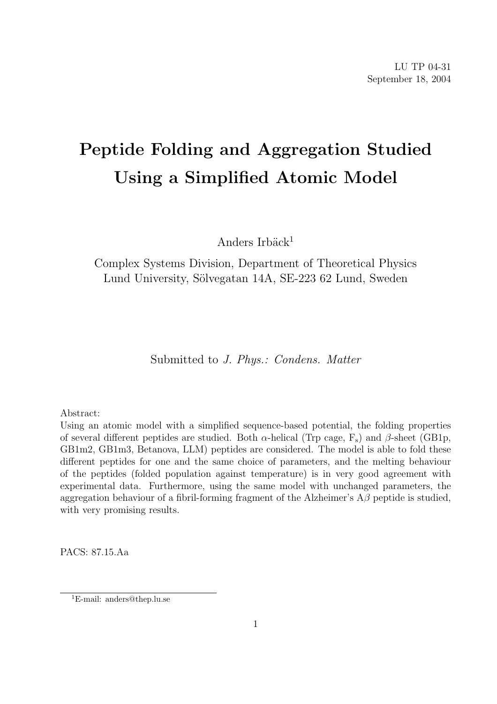# Peptide Folding and Aggregation Studied Using a Simplified Atomic Model

Anders Irbäck $1$ 

Complex Systems Division, Department of Theoretical Physics Lund University, Sölvegatan 14A, SE-223 62 Lund, Sweden

Submitted to J. Phys.: Condens. Matter

Abstract:

Using an atomic model with a simplified sequence-based potential, the folding properties of several different peptides are studied. Both  $\alpha$ -helical (Trp cage, F<sub>s</sub>) and  $\beta$ -sheet (GB1p, GB1m2, GB1m3, Betanova, LLM) peptides are considered. The model is able to fold these different peptides for one and the same choice of parameters, and the melting behaviour of the peptides (folded population against temperature) is in very good agreement with experimental data. Furthermore, using the same model with unchanged parameters, the aggregation behaviour of a fibril-forming fragment of the Alzheimer's  $A\beta$  peptide is studied, with very promising results.

PACS: 87.15.Aa

<sup>1</sup>E-mail: anders@thep.lu.se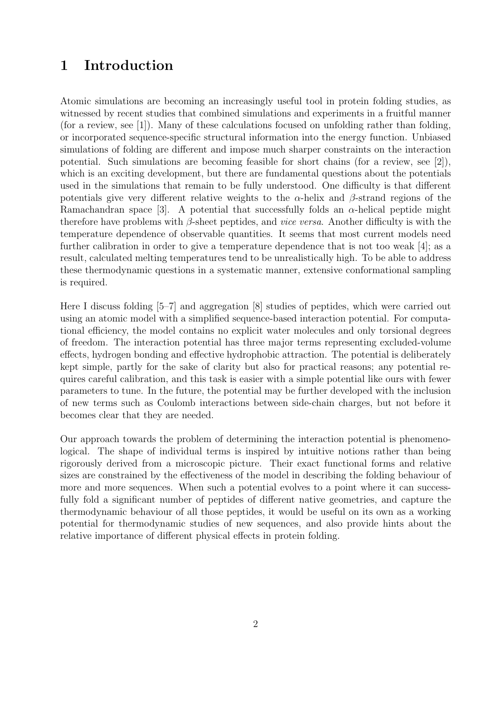## 1 Introduction

Atomic simulations are becoming an increasingly useful tool in protein folding studies, as witnessed by recent studies that combined simulations and experiments in a fruitful manner (for a review, see [1]). Many of these calculations focused on unfolding rather than folding, or incorporated sequence-specific structural information into the energy function. Unbiased simulations of folding are different and impose much sharper constraints on the interaction potential. Such simulations are becoming feasible for short chains (for a review, see [2]), which is an exciting development, but there are fundamental questions about the potentials used in the simulations that remain to be fully understood. One difficulty is that different potentials give very different relative weights to the  $\alpha$ -helix and  $\beta$ -strand regions of the Ramachandran space [3]. A potential that successfully folds an  $\alpha$ -helical peptide might therefore have problems with  $\beta$ -sheet peptides, and *vice versa*. Another difficulty is with the temperature dependence of observable quantities. It seems that most current models need further calibration in order to give a temperature dependence that is not too weak [4]; as a result, calculated melting temperatures tend to be unrealistically high. To be able to address these thermodynamic questions in a systematic manner, extensive conformational sampling is required.

Here I discuss folding [5–7] and aggregation [8] studies of peptides, which were carried out using an atomic model with a simplified sequence-based interaction potential. For computational efficiency, the model contains no explicit water molecules and only torsional degrees of freedom. The interaction potential has three major terms representing excluded-volume effects, hydrogen bonding and effective hydrophobic attraction. The potential is deliberately kept simple, partly for the sake of clarity but also for practical reasons; any potential requires careful calibration, and this task is easier with a simple potential like ours with fewer parameters to tune. In the future, the potential may be further developed with the inclusion of new terms such as Coulomb interactions between side-chain charges, but not before it becomes clear that they are needed.

Our approach towards the problem of determining the interaction potential is phenomenological. The shape of individual terms is inspired by intuitive notions rather than being rigorously derived from a microscopic picture. Their exact functional forms and relative sizes are constrained by the effectiveness of the model in describing the folding behaviour of more and more sequences. When such a potential evolves to a point where it can successfully fold a significant number of peptides of different native geometries, and capture the thermodynamic behaviour of all those peptides, it would be useful on its own as a working potential for thermodynamic studies of new sequences, and also provide hints about the relative importance of different physical effects in protein folding.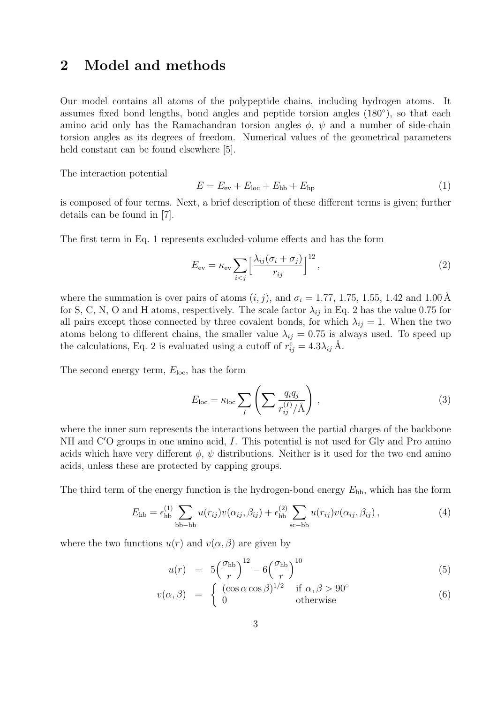## 2 Model and methods

Our model contains all atoms of the polypeptide chains, including hydrogen atoms. It assumes fixed bond lengths, bond angles and peptide torsion angles (180◦ ), so that each amino acid only has the Ramachandran torsion angles  $\phi$ ,  $\psi$  and a number of side-chain torsion angles as its degrees of freedom. Numerical values of the geometrical parameters held constant can be found elsewhere [5].

The interaction potential

$$
E = E_{\text{ev}} + E_{\text{loc}} + E_{\text{hb}} + E_{\text{hp}}
$$
\n
$$
\tag{1}
$$

is composed of four terms. Next, a brief description of these different terms is given; further details can be found in [7].

The first term in Eq. 1 represents excluded-volume effects and has the form

$$
E_{\rm ev} = \kappa_{\rm ev} \sum_{i < j} \left[ \frac{\lambda_{ij} (\sigma_i + \sigma_j)}{r_{ij}} \right]^{12},\tag{2}
$$

where the summation is over pairs of atoms  $(i, j)$ , and  $\sigma_i = 1.77, 1.75, 1.55, 1.42$  and 1.00 Å for S, C, N, O and H atoms, respectively. The scale factor  $\lambda_{ij}$  in Eq. 2 has the value 0.75 for all pairs except those connected by three covalent bonds, for which  $\lambda_{ij} = 1$ . When the two atoms belong to different chains, the smaller value  $\lambda_{ij} = 0.75$  is always used. To speed up the calculations, Eq. 2 is evaluated using a cutoff of  $r_{ij}^{\rm c} = 4.3\lambda_{ij}$  Å.

The second energy term,  $E_{\text{loc}}$ , has the form

$$
E_{\text{loc}} = \kappa_{\text{loc}} \sum_{I} \left( \sum \frac{q_i q_j}{r_{ij}^{(I)}/\text{\AA}} \right), \tag{3}
$$

where the inner sum represents the interactions between the partial charges of the backbone  $NH$  and  $C'O$  groups in one amino acid, I. This potential is not used for Gly and Pro amino acids which have very different  $\phi$ ,  $\psi$  distributions. Neither is it used for the two end amino acids, unless these are protected by capping groups.

The third term of the energy function is the hydrogen-bond energy  $E_{\rm hb}$ , which has the form

$$
E_{\text{hb}} = \epsilon_{\text{hb}}^{(1)} \sum_{\text{bb}-\text{bb}} u(r_{ij})v(\alpha_{ij}, \beta_{ij}) + \epsilon_{\text{hb}}^{(2)} \sum_{\text{sc}-\text{bb}} u(r_{ij})v(\alpha_{ij}, \beta_{ij}), \qquad (4)
$$

where the two functions  $u(r)$  and  $v(\alpha, \beta)$  are given by

$$
u(r) = 5\left(\frac{\sigma_{\rm hb}}{r}\right)^{12} - 6\left(\frac{\sigma_{\rm hb}}{r}\right)^{10} \tag{5}
$$

$$
v(\alpha, \beta) = \begin{cases} \n\frac{r}{\cos \alpha \cos \beta} & \text{if } \alpha, \beta > 90^{\circ} \\
0 & \text{otherwise}\n\end{cases}
$$
\n(6)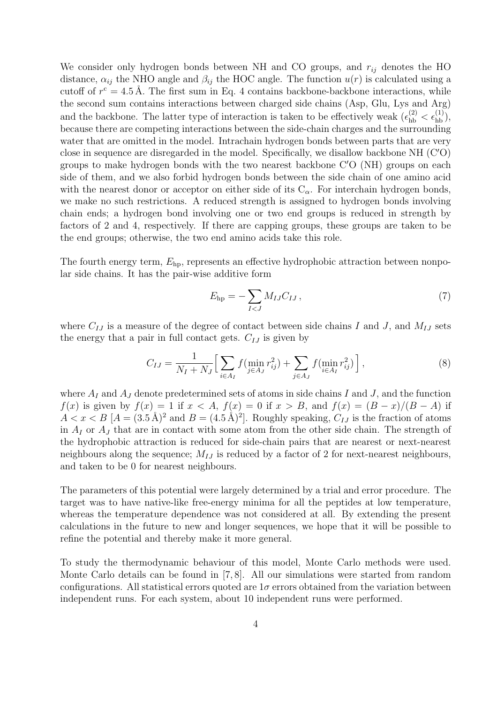We consider only hydrogen bonds between NH and CO groups, and  $r_{ij}$  denotes the HO distance,  $\alpha_{ij}$  the NHO angle and  $\beta_{ij}$  the HOC angle. The function  $u(r)$  is calculated using a cutoff of  $r^c = 4.5 \text{ Å}$ . The first sum in Eq. 4 contains backbone-backbone interactions, while the second sum contains interactions between charged side chains (Asp, Glu, Lys and Arg) and the backbone. The latter type of interaction is taken to be effectively weak  $({\epsilon}_{hb}^{(2)} < {\epsilon}_{hb}^{(1)}),$ because there are competing interactions between the side-chain charges and the surrounding water that are omitted in the model. Intrachain hydrogen bonds between parts that are very close in sequence are disregarded in the model. Specifically, we disallow backbone NH  $(C'O)$ groups to make hydrogen bonds with the two nearest backbone  $C'O(NH)$  groups on each side of them, and we also forbid hydrogen bonds between the side chain of one amino acid with the nearest donor or acceptor on either side of its  $C_{\alpha}$ . For interchain hydrogen bonds, we make no such restrictions. A reduced strength is assigned to hydrogen bonds involving chain ends; a hydrogen bond involving one or two end groups is reduced in strength by factors of 2 and 4, respectively. If there are capping groups, these groups are taken to be the end groups; otherwise, the two end amino acids take this role.

The fourth energy term,  $E_{\rm hp}$ , represents an effective hydrophobic attraction between nonpolar side chains. It has the pair-wise additive form

$$
E_{\rm hp} = -\sum_{I < J} M_{IJ} C_{IJ} \,,\tag{7}
$$

where  $C_{IJ}$  is a measure of the degree of contact between side chains I and J, and  $M_{IJ}$  sets the energy that a pair in full contact gets.  $C_{IJ}$  is given by

$$
C_{IJ} = \frac{1}{N_I + N_J} \Big[ \sum_{i \in A_I} f(\min_{j \in A_J} r_{ij}^2) + \sum_{j \in A_J} f(\min_{i \in A_I} r_{ij}^2) \Big], \tag{8}
$$

where  $A_I$  and  $A_J$  denote predetermined sets of atoms in side chains I and J, and the function  $f(x)$  is given by  $f(x) = 1$  if  $x < A$ ,  $f(x) = 0$  if  $x > B$ , and  $f(x) = (B - x)/(B - A)$  if  $A < x < B$  [ $A = (3.5 \text{ Å})^2$  and  $B = (4.5 \text{ Å})^2$ ]. Roughly speaking,  $C_{IJ}$  is the fraction of atoms in  $A_I$  or  $A_J$  that are in contact with some atom from the other side chain. The strength of the hydrophobic attraction is reduced for side-chain pairs that are nearest or next-nearest neighbours along the sequence;  $M_{IJ}$  is reduced by a factor of 2 for next-nearest neighbours, and taken to be 0 for nearest neighbours.

The parameters of this potential were largely determined by a trial and error procedure. The target was to have native-like free-energy minima for all the peptides at low temperature, whereas the temperature dependence was not considered at all. By extending the present calculations in the future to new and longer sequences, we hope that it will be possible to refine the potential and thereby make it more general.

To study the thermodynamic behaviour of this model, Monte Carlo methods were used. Monte Carlo details can be found in [7, 8]. All our simulations were started from random configurations. All statistical errors quoted are  $1\sigma$  errors obtained from the variation between independent runs. For each system, about 10 independent runs were performed.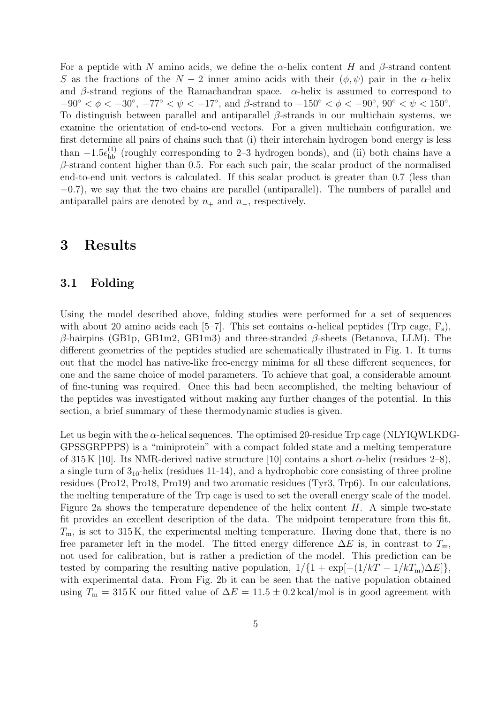For a peptide with N amino acids, we define the  $\alpha$ -helix content H and  $\beta$ -strand content S as the fractions of the  $N-2$  inner amino acids with their  $(\phi, \psi)$  pair in the  $\alpha$ -helix and β-strand regions of the Ramachandran space.  $\alpha$ -helix is assumed to correspond to  $-90^{\circ} < \phi < -30^{\circ}, -77^{\circ} < \psi < -17^{\circ}, \text{ and } \beta\text{-strand to } -150^{\circ} < \phi < -90^{\circ}, 90^{\circ} < \psi < 150^{\circ}.$ To distinguish between parallel and antiparallel  $\beta$ -strands in our multichain systems, we examine the orientation of end-to-end vectors. For a given multichain configuration, we first determine all pairs of chains such that (i) their interchain hydrogen bond energy is less than  $-1.5\epsilon_{hb}^{(1)}$  (roughly corresponding to 2–3 hydrogen bonds), and (ii) both chains have a  $\beta$ -strand content higher than 0.5. For each such pair, the scalar product of the normalised end-to-end unit vectors is calculated. If this scalar product is greater than 0.7 (less than −0.7), we say that the two chains are parallel (antiparallel). The numbers of parallel and antiparallel pairs are denoted by  $n_+$  and  $n_-$ , respectively.

### 3 Results

#### 3.1 Folding

Using the model described above, folding studies were performed for a set of sequences with about 20 amino acids each [5–7]. This set contains  $\alpha$ -helical peptides (Trp cage, F<sub>s</sub>), β-hairpins (GB1p, GB1m2, GB1m3) and three-stranded β-sheets (Betanova, LLM). The different geometries of the peptides studied are schematically illustrated in Fig. 1. It turns out that the model has native-like free-energy minima for all these different sequences, for one and the same choice of model parameters. To achieve that goal, a considerable amount of fine-tuning was required. Once this had been accomplished, the melting behaviour of the peptides was investigated without making any further changes of the potential. In this section, a brief summary of these thermodynamic studies is given.

Let us begin with the  $\alpha$ -helical sequences. The optimised 20-residue Trp cage (NLYIQWLKDG-GPSSGRPPPS) is a "miniprotein" with a compact folded state and a melting temperature of 315 K [10]. Its NMR-derived native structure [10] contains a short  $\alpha$ -helix (residues 2–8), a single turn of  $3_{10}$ -helix (residues 11-14), and a hydrophobic core consisting of three proline residues (Pro12, Pro18, Pro19) and two aromatic residues (Tyr3, Trp6). In our calculations, the melting temperature of the Trp cage is used to set the overall energy scale of the model. Figure 2a shows the temperature dependence of the helix content  $H$ . A simple two-state fit provides an excellent description of the data. The midpoint temperature from this fit,  $T<sub>m</sub>$ , is set to 315 K, the experimental melting temperature. Having done that, there is no free parameter left in the model. The fitted energy difference  $\Delta E$  is, in contrast to  $T_m$ , not used for calibration, but is rather a prediction of the model. This prediction can be tested by comparing the resulting native population,  $1/\{1 + \exp[-(1/kT - 1/kT_m)\Delta E]\}$ , with experimental data. From Fig. 2b it can be seen that the native population obtained using  $T_m = 315 \text{ K}$  our fitted value of  $\Delta E = 11.5 \pm 0.2 \text{ kcal/mol}$  is in good agreement with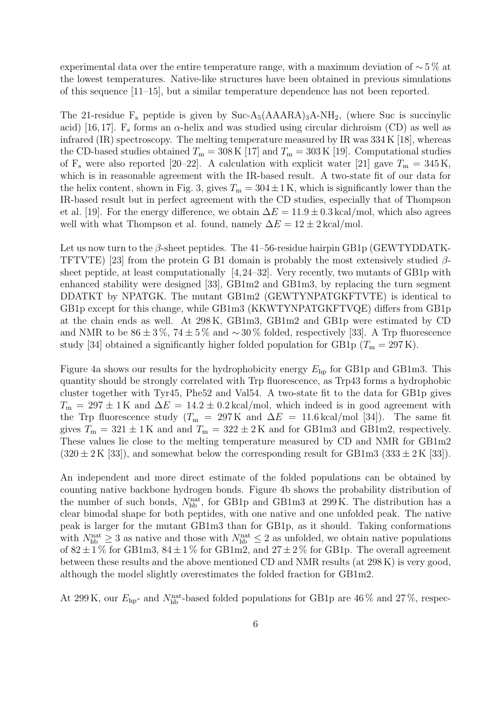experimental data over the entire temperature range, with a maximum deviation of  $\sim 5\%$  at the lowest temperatures. Native-like structures have been obtained in previous simulations of this sequence [11–15], but a similar temperature dependence has not been reported.

The 21-residue  $F_s$  peptide is given by Suc-A<sub>5</sub>(AAARA)<sub>3</sub>A-NH<sub>2</sub>, (where Suc is succinylic acid) [16,17].  $F_s$  forms an  $\alpha$ -helix and was studied using circular dichroism (CD) as well as infrared (IR) spectroscopy. The melting temperature measured by IR was 334 K [18], whereas the CD-based studies obtained  $T_{\rm m} = 308 \,\rm K$  [17] and  $T_{\rm m} = 303 \,\rm K$  [19]. Computational studies of F<sub>s</sub> were also reported [20–22]. A calculation with explicit water [21] gave  $T_m = 345 \text{ K}$ , which is in reasonable agreement with the IR-based result. A two-state fit of our data for the helix content, shown in Fig. 3, gives  $T_m = 304 \pm 1$  K, which is significantly lower than the IR-based result but in perfect agreement with the CD studies, especially that of Thompson et al. [19]. For the energy difference, we obtain  $\Delta E = 11.9 \pm 0.3 \text{ kcal/mol}$ , which also agrees well with what Thompson et al. found, namely  $\Delta E = 12 \pm 2 \text{ kcal/mol}$ .

Let us now turn to the  $\beta$ -sheet peptides. The 41–56-residue hairpin GB1p (GEWTYDDATK-TFTVTE) [23] from the protein G B1 domain is probably the most extensively studied  $\beta$ sheet peptide, at least computationally [4,24–32]. Very recently, two mutants of GB1p with enhanced stability were designed [33], GB1m2 and GB1m3, by replacing the turn segment DDATKT by NPATGK. The mutant GB1m2 (GEWTYNPATGKFTVTE) is identical to GB1p except for this change, while GB1m3 (KKWTYNPATGKFTVQE) differs from GB1p at the chain ends as well. At 298 K, GB1m3, GB1m2 and GB1p were estimated by CD and NMR to be  $86 \pm 3\%$ ,  $74 \pm 5\%$  and  $\sim 30\%$  folded, respectively [33]. A Trp fluorescence study [34] obtained a significantly higher folded population for GB1p ( $T_m = 297 \text{ K}$ ).

Figure 4a shows our results for the hydrophobicity energy  $E_{hp}$  for GB1p and GB1m3. This quantity should be strongly correlated with Trp fluorescence, as Trp43 forms a hydrophobic cluster together with Tyr45, Phe52 and Val54. A two-state fit to the data for GB1p gives  $T_m = 297 \pm 1$  K and  $\Delta E = 14.2 \pm 0.2$  kcal/mol, which indeed is in good agreement with the Trp fluorescence study ( $T_m = 297 \text{ K}$  and  $\Delta E = 11.6 \text{ kcal/mol}$  [34]). The same fit gives  $T_m = 321 \pm 1$  K and and  $T_m = 322 \pm 2$  K and for GB1m3 and GB1m2, respectively. These values lie close to the melting temperature measured by CD and NMR for GB1m2  $(320 \pm 2 \text{ K } [33])$ , and somewhat below the corresponding result for GB1m3  $(333 \pm 2 \text{ K } [33])$ .

An independent and more direct estimate of the folded populations can be obtained by counting native backbone hydrogen bonds. Figure 4b shows the probability distribution of the number of such bonds,  $N_{\rm hb}^{\rm nat}$ , for GB1p and GB1m3 at 299K. The distribution has a clear bimodal shape for both peptides, with one native and one unfolded peak. The native peak is larger for the mutant GB1m3 than for GB1p, as it should. Taking conformations with  $N_{\rm hb}^{\rm nat} \geq 3$  as native and those with  $N_{\rm hb}^{\rm nat} \leq 2$  as unfolded, we obtain native populations of  $82 \pm 1\%$  for GB1m3,  $84 \pm 1\%$  for GB1m2, and  $27 \pm 2\%$  for GB1p. The overall agreement between these results and the above mentioned CD and NMR results (at 298 K) is very good, although the model slightly overestimates the folded fraction for GB1m2.

At 299 K, our  $E_{\text{hp}}$  and  $N_{\text{hb}}^{\text{nat}}$ -based folded populations for GB1p are 46 % and 27 %, respec-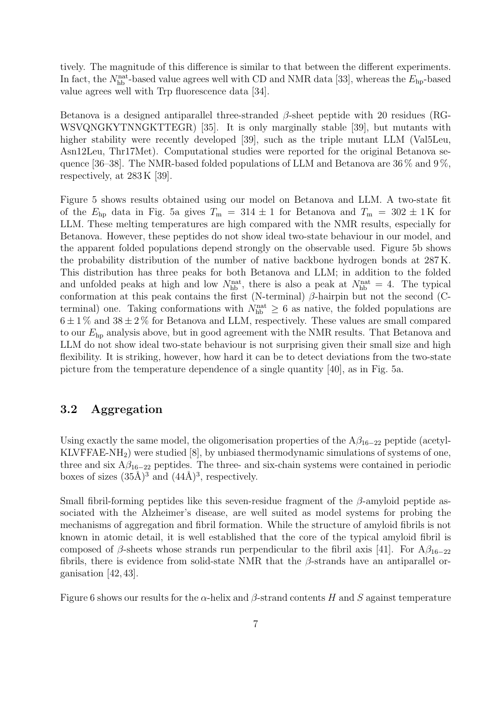tively. The magnitude of this difference is similar to that between the different experiments. In fact, the  $N_{\rm hb}^{\rm nat}$ -based value agrees well with CD and NMR data [33], whereas the  $E_{\rm hp}$ -based value agrees well with Trp fluorescence data [34].

Betanova is a designed antiparallel three-stranded  $\beta$ -sheet peptide with 20 residues (RG-WSVQNGKYTNNGKTTEGR) [35]. It is only marginally stable [39], but mutants with higher stability were recently developed [39], such as the triple mutant LLM (Val5Leu, Asn12Leu, Thr17Met). Computational studies were reported for the original Betanova sequence [36–38]. The NMR-based folded populations of LLM and Betanova are 36  $\%$  and 9  $\%$ , respectively, at 283 K [39].

Figure 5 shows results obtained using our model on Betanova and LLM. A two-state fit of the  $E_{\text{hp}}$  data in Fig. 5a gives  $T_{\text{m}} = 314 \pm 1$  for Betanova and  $T_{\text{m}} = 302 \pm 1$  K for LLM. These melting temperatures are high compared with the NMR results, especially for Betanova. However, these peptides do not show ideal two-state behaviour in our model, and the apparent folded populations depend strongly on the observable used. Figure 5b shows the probability distribution of the number of native backbone hydrogen bonds at 287 K. This distribution has three peaks for both Betanova and LLM; in addition to the folded and unfolded peaks at high and low  $N_{\rm hb}^{\rm nat}$ , there is also a peak at  $N_{\rm hb}^{\rm nat} = 4$ . The typical conformation at this peak contains the first (N-terminal)  $\beta$ -hairpin but not the second (Cterminal) one. Taking conformations with  $N_{\text{hb}}^{\text{nat}} \geq 6$  as native, the folded populations are  $6 \pm 1\%$  and  $38 \pm 2\%$  for Betanova and LLM, respectively. These values are small compared to our  $E<sub>hp</sub>$  analysis above, but in good agreement with the NMR results. That Betanova and LLM do not show ideal two-state behaviour is not surprising given their small size and high flexibility. It is striking, however, how hard it can be to detect deviations from the two-state picture from the temperature dependence of a single quantity [40], as in Fig. 5a.

#### 3.2 Aggregation

Using exactly the same model, the oligomerisation properties of the  $A\beta_{16-22}$  peptide (acetyl-KLVFFAE-NH2) were studied [8], by unbiased thermodynamic simulations of systems of one, three and six  $A\beta_{16-22}$  peptides. The three- and six-chain systems were contained in periodic boxes of sizes  $(35\text{\AA})^3$  and  $(44\text{\AA})^3$ , respectively.

Small fibril-forming peptides like this seven-residue fragment of the  $\beta$ -amyloid peptide associated with the Alzheimer's disease, are well suited as model systems for probing the mechanisms of aggregation and fibril formation. While the structure of amyloid fibrils is not known in atomic detail, it is well established that the core of the typical amyloid fibril is composed of  $\beta$ -sheets whose strands run perpendicular to the fibril axis [41]. For  $A\beta_{16-22}$ fibrils, there is evidence from solid-state NMR that the  $\beta$ -strands have an antiparallel organisation [42, 43].

Figure 6 shows our results for the  $\alpha$ -helix and  $\beta$ -strand contents H and S against temperature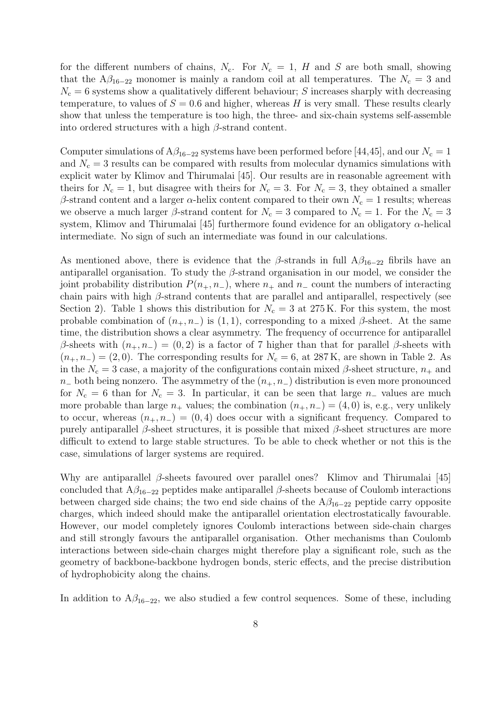for the different numbers of chains,  $N_c$ . For  $N_c = 1$ , H and S are both small, showing that the  $A\beta_{16-22}$  monomer is mainly a random coil at all temperatures. The  $N_c = 3$  and  $N_c = 6$  systems show a qualitatively different behaviour; S increases sharply with decreasing temperature, to values of  $S = 0.6$  and higher, whereas H is very small. These results clearly show that unless the temperature is too high, the three- and six-chain systems self-assemble into ordered structures with a high  $\beta$ -strand content.

Computer simulations of  $A\beta_{16-22}$  systems have been performed before [44,45], and our  $N_c = 1$ and  $N_c = 3$  results can be compared with results from molecular dynamics simulations with explicit water by Klimov and Thirumalai [45]. Our results are in reasonable agreement with theirs for  $N_c = 1$ , but disagree with theirs for  $N_c = 3$ . For  $N_c = 3$ , they obtained a smaller β-strand content and a larger α-helix content compared to their own  $N_c = 1$  results; whereas we observe a much larger  $\beta$ -strand content for  $N_c = 3$  compared to  $N_c = 1$ . For the  $N_c = 3$ system, Klimov and Thirumalai [45] furthermore found evidence for an obligatory  $\alpha$ -helical intermediate. No sign of such an intermediate was found in our calculations.

As mentioned above, there is evidence that the β-strands in full  $A\beta_{16-22}$  fibrils have an antiparallel organisation. To study the  $\beta$ -strand organisation in our model, we consider the joint probability distribution  $P(n_{+}, n_{-})$ , where  $n_{+}$  and  $n_{-}$  count the numbers of interacting chain pairs with high  $\beta$ -strand contents that are parallel and antiparallel, respectively (see Section 2). Table 1 shows this distribution for  $N_c = 3$  at 275 K. For this system, the most probable combination of  $(n_+, n_-)$  is  $(1, 1)$ , corresponding to a mixed  $\beta$ -sheet. At the same time, the distribution shows a clear asymmetry. The frequency of occurrence for antiparallel β-sheets with  $(n_+, n_-) = (0, 2)$  is a factor of 7 higher than that for parallel β-sheets with  $(n_{+}, n_{-}) = (2, 0)$ . The corresponding results for  $N_c = 6$ , at 287 K, are shown in Table 2. As in the  $N_c = 3$  case, a majority of the configurations contain mixed  $\beta$ -sheet structure,  $n_+$  and  $n_+$  both being nonzero. The asymmetry of the  $(n_+, n_-)$  distribution is even more pronounced for  $N_c = 6$  than for  $N_c = 3$ . In particular, it can be seen that large  $n_-\$  values are much more probable than large  $n_+$  values; the combination  $(n_+, n_-) = (4, 0)$  is, e.g., very unlikely to occur, whereas  $(n_+, n_-) = (0, 4)$  does occur with a significant frequency. Compared to purely antiparallel  $\beta$ -sheet structures, it is possible that mixed  $\beta$ -sheet structures are more difficult to extend to large stable structures. To be able to check whether or not this is the case, simulations of larger systems are required.

Why are antiparallel  $\beta$ -sheets favoured over parallel ones? Klimov and Thirumalai [45] concluded that  $A\beta_{16-22}$  peptides make antiparallel  $\beta$ -sheets because of Coulomb interactions between charged side chains; the two end side chains of the  $A\beta_{16-22}$  peptide carry opposite charges, which indeed should make the antiparallel orientation electrostatically favourable. However, our model completely ignores Coulomb interactions between side-chain charges and still strongly favours the antiparallel organisation. Other mechanisms than Coulomb interactions between side-chain charges might therefore play a significant role, such as the geometry of backbone-backbone hydrogen bonds, steric effects, and the precise distribution of hydrophobicity along the chains.

In addition to  $A\beta_{16-22}$ , we also studied a few control sequences. Some of these, including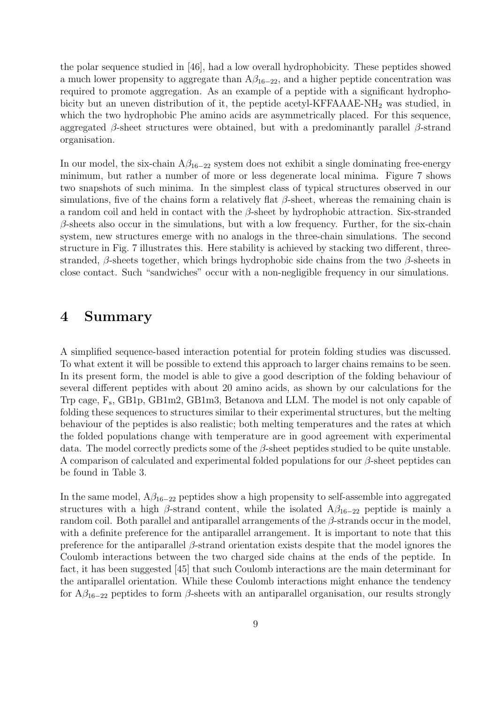the polar sequence studied in [46], had a low overall hydrophobicity. These peptides showed a much lower propensity to aggregate than  $A\beta_{16-22}$ , and a higher peptide concentration was required to promote aggregation. As an example of a peptide with a significant hydrophobicity but an uneven distribution of it, the peptide acetyl-KFFAAAE-NH<sub>2</sub> was studied, in which the two hydrophobic Phe amino acids are asymmetrically placed. For this sequence, aggregated  $\beta$ -sheet structures were obtained, but with a predominantly parallel  $\beta$ -strand organisation.

In our model, the six-chain  $A\beta_{16-22}$  system does not exhibit a single dominating free-energy minimum, but rather a number of more or less degenerate local minima. Figure 7 shows two snapshots of such minima. In the simplest class of typical structures observed in our simulations, five of the chains form a relatively flat  $\beta$ -sheet, whereas the remaining chain is a random coil and held in contact with the  $\beta$ -sheet by hydrophobic attraction. Six-stranded  $\beta$ -sheets also occur in the simulations, but with a low frequency. Further, for the six-chain system, new structures emerge with no analogs in the three-chain simulations. The second structure in Fig. 7 illustrates this. Here stability is achieved by stacking two different, threestranded,  $\beta$ -sheets together, which brings hydrophobic side chains from the two  $\beta$ -sheets in close contact. Such "sandwiches" occur with a non-negligible frequency in our simulations.

#### 4 Summary

A simplified sequence-based interaction potential for protein folding studies was discussed. To what extent it will be possible to extend this approach to larger chains remains to be seen. In its present form, the model is able to give a good description of the folding behaviour of several different peptides with about 20 amino acids, as shown by our calculations for the Trp cage,  $F_s$ , GB1p, GB1m2, GB1m3, Betanova and LLM. The model is not only capable of folding these sequences to structures similar to their experimental structures, but the melting behaviour of the peptides is also realistic; both melting temperatures and the rates at which the folded populations change with temperature are in good agreement with experimental data. The model correctly predicts some of the  $\beta$ -sheet peptides studied to be quite unstable. A comparison of calculated and experimental folded populations for our  $\beta$ -sheet peptides can be found in Table 3.

In the same model,  $A\beta_{16-22}$  peptides show a high propensity to self-assemble into aggregated structures with a high  $\beta$ -strand content, while the isolated A $\beta_{16-22}$  peptide is mainly a random coil. Both parallel and antiparallel arrangements of the  $\beta$ -strands occur in the model, with a definite preference for the antiparallel arrangement. It is important to note that this preference for the antiparallel  $\beta$ -strand orientation exists despite that the model ignores the Coulomb interactions between the two charged side chains at the ends of the peptide. In fact, it has been suggested [45] that such Coulomb interactions are the main determinant for the antiparallel orientation. While these Coulomb interactions might enhance the tendency for  $A\beta_{16-22}$  peptides to form  $\beta$ -sheets with an antiparallel organisation, our results strongly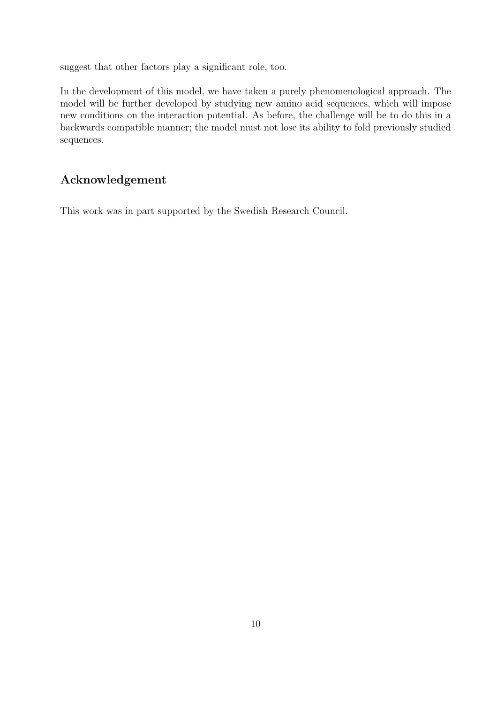suggest that other factors play a significant role, too.

In the development of this model, we have taken a purely phenomenological approach. The model will be further developed by studying new amino acid sequences, which will impose new conditions on the interaction potential. As before, the challenge will be to do this in a backwards compatible manner; the model must not lose its ability to fold previously studied sequences.

### Acknowledgement

This work was in part supported by the Swedish Research Council.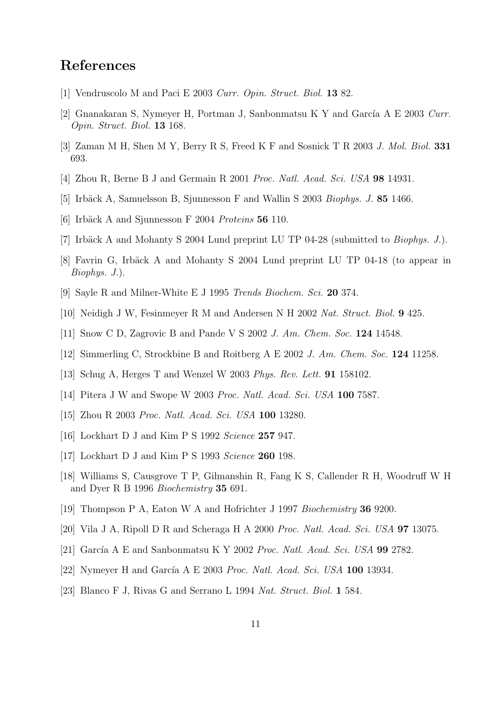# References

- [1] Vendruscolo M and Paci E 2003 Curr. Opin. Struct. Biol. 13 82.
- [2] Gnanakaran S, Nymeyer H, Portman J, Sanbonmatsu K Y and García A E 2003 Curr. Opin. Struct. Biol. 13 168.
- [3] Zaman M H, Shen M Y, Berry R S, Freed K F and Sosnick T R 2003 J. Mol. Biol. 331 693.
- [4] Zhou R, Berne B J and Germain R 2001 Proc. Natl. Acad. Sci. USA 98 14931.
- [5] Irbäck A, Samuelsson B, Sjunnesson F and Wallin S 2003 *Biophys. J.* 85 1466.
- [6] Irbäck A and Sjunnesson F 2004 Proteins 56 110.
- [7] Irbäck A and Mohanty S 2004 Lund preprint LU TP 04-28 (submitted to *Biophys. J.*).
- [8] Favrin G, Irbäck A and Mohanty S 2004 Lund preprint LU TP 04-18 (to appear in Biophys. J.).
- [9] Sayle R and Milner-White E J 1995 Trends Biochem. Sci. 20 374.
- [10] Neidigh J W, Fesinmeyer R M and Andersen N H 2002 Nat. Struct. Biol. 9 425.
- [11] Snow C D, Zagrovic B and Pande V S 2002 J. Am. Chem. Soc. 124 14548.
- [12] Simmerling C, Strockbine B and Roitberg A E 2002 J. Am. Chem. Soc. 124 11258.
- [13] Schug A, Herges T and Wenzel W 2003 Phys. Rev. Lett. **91** 158102.
- [14] Pitera J W and Swope W 2003 Proc. Natl. Acad. Sci. USA 100 7587.
- [15] Zhou R 2003 Proc. Natl. Acad. Sci. USA 100 13280.
- [16] Lockhart D J and Kim P S 1992 Science 257 947.
- [17] Lockhart D J and Kim P S 1993 Science **260** 198.
- [18] Williams S, Causgrove T P, Gilmanshin R, Fang K S, Callender R H, Woodruff W H and Dyer R B 1996 Biochemistry 35 691.
- [19] Thompson P A, Eaton W A and Hofrichter J 1997 Biochemistry 36 9200.
- [20] Vila J A, Ripoll D R and Scheraga H A 2000 Proc. Natl. Acad. Sci. USA 97 13075.
- [21] García A E and Sanbonmatsu K Y 2002 Proc. Natl. Acad. Sci. USA 99 2782.
- [22] Nymeyer H and García A E 2003 Proc. Natl. Acad. Sci. USA  $100$  13934.
- [23] Blanco F J, Rivas G and Serrano L 1994 Nat. Struct. Biol. 1 584.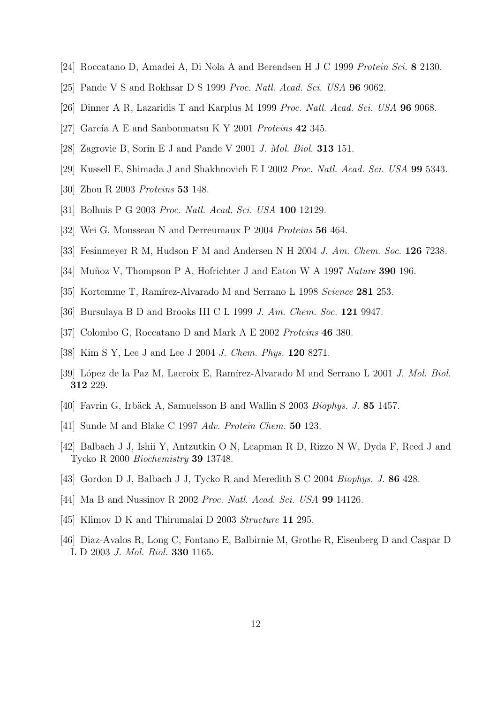- [24] Roccatano D, Amadei A, Di Nola A and Berendsen H J C 1999 Protein Sci. 8 2130.
- [25] Pande V S and Rokhsar D S 1999 *Proc. Natl. Acad. Sci. USA* **96** 9062.
- [26] Dinner A R, Lazaridis T and Karplus M 1999 Proc. Natl. Acad. Sci. USA 96 9068.
- [27] García A E and Sanbonmatsu K Y 2001 Proteins  $42\,345$ .
- [28] Zagrovic B, Sorin E J and Pande V 2001 J. Mol. Biol. 313 151.
- [29] Kussell E, Shimada J and Shakhnovich E I 2002 Proc. Natl. Acad. Sci. USA 99 5343.
- [30] Zhou R 2003 Proteins 53 148.
- [31] Bolhuis P G 2003 Proc. Natl. Acad. Sci. USA 100 12129.
- [32] Wei G, Mousseau N and Derreumaux P 2004 Proteins 56 464.
- [33] Fesinmeyer R M, Hudson F M and Andersen N H 2004 J. Am. Chem. Soc. **126** 7238.
- [34] Muñoz V, Thompson P A, Hofrichter J and Eaton W A 1997 Nature 390 196.
- [35] Kortemme T, Ramírez-Alvarado M and Serrano L 1998 Science 281 253.
- [36] Bursulaya B D and Brooks III C L 1999 *J. Am. Chem. Soc.* **121** 9947.
- [37] Colombo G, Roccatano D and Mark A E 2002 Proteins 46 380.
- [38] Kim S Y, Lee J and Lee J 2004 J. Chem. Phys. 120 8271.
- [39] López de la Paz M, Lacroix E, Ramírez-Alvarado M and Serrano L 2001 J. Mol. Biol. 312 229.
- [40] Favrin G, Irbäck A, Samuelsson B and Wallin S 2003 Biophys. J. 85 1457.
- [41] Sunde M and Blake C 1997 Adv. Protein Chem. **50** 123.
- [42] Balbach J J, Ishii Y, Antzutkin O N, Leapman R D, Rizzo N W, Dyda F, Reed J and Tycko R 2000 Biochemistry 39 13748.
- [43] Gordon D J, Balbach J J, Tycko R and Meredith S C 2004 Biophys. J. 86 428.
- [44] Ma B and Nussinov R 2002 *Proc. Natl. Acad. Sci. USA* **99** 14126.
- [45] Klimov D K and Thirumalai D 2003 Structure 11 295.
- [46] Diaz-Avalos R, Long C, Fontano E, Balbirnie M, Grothe R, Eisenberg D and Caspar D L D 2003 J. Mol. Biol. 330 1165.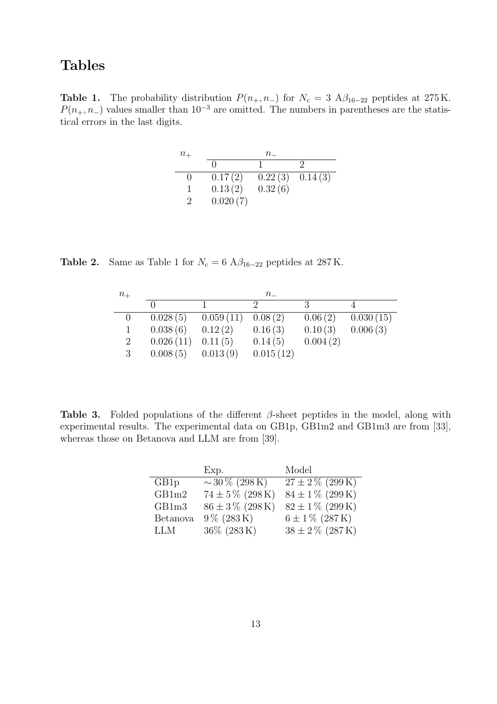# Tables

**Table 1.** The probability distribution  $P(n_{+}, n_{-})$  for  $N_c = 3$  A $\beta_{16-22}$  peptides at 275 K.  $P(n_{+}, n_{-})$  values smaller than 10<sup>-3</sup> are omitted. The numbers in parentheses are the statistical errors in the last digits.

| $n_{+}$       | $n_{-}$  |         |         |
|---------------|----------|---------|---------|
|               |          |         |         |
|               | 0.17(2)  | 0.22(3) | 0.14(3) |
|               | 0.13(2)  | 0.32(6) |         |
| $\mathcal{D}$ | 0.020(7) |         |         |

Table 2. Same as Table 1 for  $N_c = 6$  A $\beta_{16-22}$  peptides at 287 K.

| $n_{+}$ | $n_{-}$   |                       |           |          |           |
|---------|-----------|-----------------------|-----------|----------|-----------|
|         |           |                       |           | -3       |           |
|         | 0.028(5)  | $0.059(11)$ $0.08(2)$ |           | 0.06(2)  | 0.030(15) |
|         | 0.038(6)  | 0.12(2)               | 0.16(3)   | 0.10(3)  | 0.006(3)  |
| 2       | 0.026(11) | 0.11(5)               | 0.14(5)   | 0.004(2) |           |
| 3       | 0.008(5)  | 0.013(9)              | 0.015(12) |          |           |

**Table 3.** Folded populations of the different  $\beta$ -sheet peptides in the model, along with experimental results. The experimental data on GB1p, GB1m2 and GB1m3 are from [33], whereas those on Betanova and LLM are from [39].

|                 | Exp.                    | Model                |
|-----------------|-------------------------|----------------------|
| GB1p            | $\sim$ 30 % (298 K)     | $27 \pm 2\%$ (299K)  |
| GB1m2           | $74 \pm 5\%$ (298 K)    | $84 \pm 1\%$ (299 K) |
| GB1m3           | $86 \pm 3\%$ (298 K)    | $82 \pm 1\%$ (299 K) |
| <b>Betanova</b> | $9\% (283\,\mathrm{K})$ | $6 \pm 1\%$ (287 K)  |
| LLM             | 36\% (283K)             | $38 \pm 2\%$ (287K)  |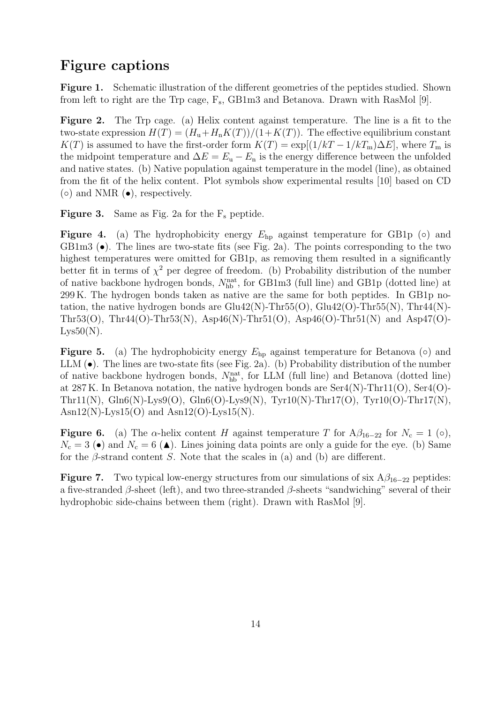## Figure captions

Figure 1. Schematic illustration of the different geometries of the peptides studied. Shown from left to right are the Trp cage,  $F_s$ , GB1m3 and Betanova. Drawn with RasMol [9].

Figure 2. The Trp cage. (a) Helix content against temperature. The line is a fit to the two-state expression  $H(T) = (H_u + H_u K(T))/(1 + K(T))$ . The effective equilibrium constant K(T) is assumed to have the first-order form  $K(T) = \exp[(1/kT - 1/kT_m)\Delta E]$ , where  $T_m$  is the midpoint temperature and  $\Delta E = E_{\rm u} - E_{\rm n}$  is the energy difference between the unfolded and native states. (b) Native population against temperature in the model (line), as obtained from the fit of the helix content. Plot symbols show experimental results [10] based on CD  $\circ$ ) and NMR  $\circ$ ), respectively.

**Figure 3.** Same as Fig. 2a for the  $F_s$  peptide.

**Figure 4.** (a) The hydrophobicity energy  $E_{\text{hp}}$  against temperature for GB1p ( $\circ$ ) and GB1m3  $\bullet$ ). The lines are two-state fits (see Fig. 2a). The points corresponding to the two highest temperatures were omitted for GB1p, as removing them resulted in a significantly better fit in terms of  $\chi^2$  per degree of freedom. (b) Probability distribution of the number of native backbone hydrogen bonds,  $N_{\text{hb}}^{\text{nat}}$ , for GB1m3 (full line) and GB1p (dotted line) at 299 K. The hydrogen bonds taken as native are the same for both peptides. In GB1p notation, the native hydrogen bonds are  $Glu42(N)$ -Thr55 $(O)$ ,  $Glu42(O)$ -Thr55 $(N)$ , Thr44 $(N)$ -Thr53(O), Thr44(O)-Thr53(N), Asp46(N)-Thr51(O), Asp46(O)-Thr51(N) and Asp47(O)- $Lys50(N)$ .

**Figure 5.** (a) The hydrophobicity energy  $E_{hp}$  against temperature for Betanova ( $\circ$ ) and LLM (•). The lines are two-state fits (see Fig. 2a). (b) Probability distribution of the number of native backbone hydrogen bonds,  $N_{\text{hb}}^{\text{nat}}$ , for LLM (full line) and Betanova (dotted line) at 287 K. In Betanova notation, the native hydrogen bonds are Ser4(N)-Thr11(O), Ser4(O)- Thr11(N), Gln6(N)-Lys9(O), Gln6(O)-Lys9(N), Tyr10(N)-Thr17(O), Tyr10(O)-Thr17(N),  $\text{Asn12(N)-Lys15(O)}$  and  $\text{Asn12(O)-Lys15(N)}$ .

**Figure 6.** (a) The  $\alpha$ -helix content H against temperature T for  $A\beta_{16-22}$  for  $N_c = 1$  ( $\circ$ ),  $N_c = 3$  ( $\bullet$ ) and  $N_c = 6$  ( $\bullet$ ). Lines joining data points are only a guide for the eye. (b) Same for the  $\beta$ -strand content S. Note that the scales in (a) and (b) are different.

**Figure 7.** Two typical low-energy structures from our simulations of six  $A\beta_{16-22}$  peptides: a five-stranded  $\beta$ -sheet (left), and two three-stranded  $\beta$ -sheets "sandwiching" several of their hydrophobic side-chains between them (right). Drawn with RasMol [9].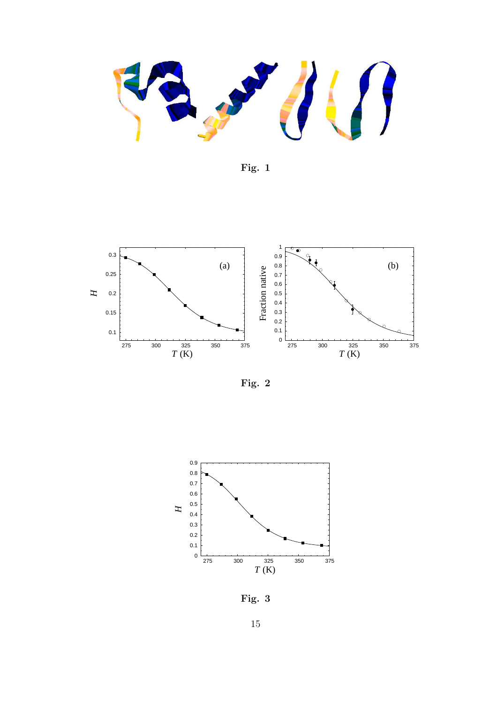Fig. 1



Fig. 2



Fig. 3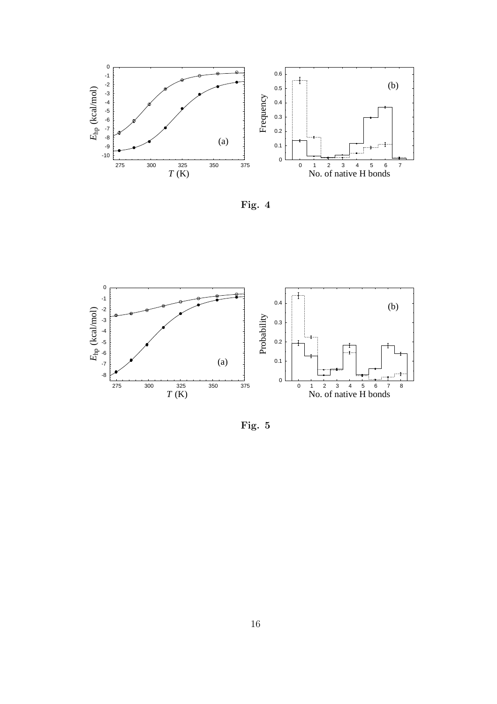





Fig. 5